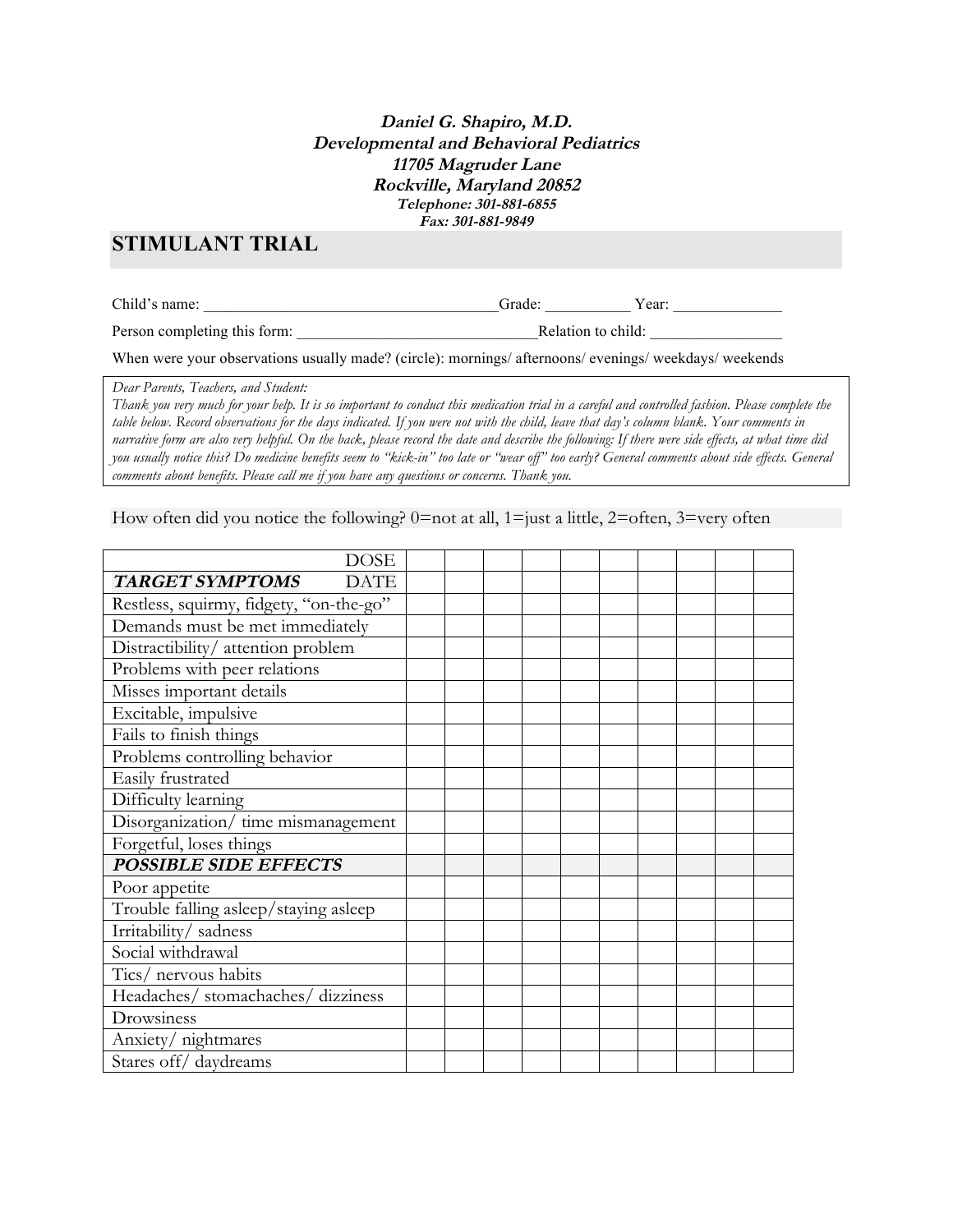## **Daniel G. Shapiro, M.D. Developmental and Behavioral Pediatrics 11705 Magruder Lane Rockville, Maryland 20852 Telephone: 301-881-6855 Fax: 301-881-9849**

# **STIMULANT TRIAL**

Child's name: The contract of the contract of the contract of the contract of the contract of the contract of the contract of the contract of the contract of the contract of the contract of the contract of the contract of

Person completing this form:  $\blacksquare$  Relation to child:  $\blacksquare$ 

When were your observations usually made? (circle): mornings/ afternoons/ evenings/ weekdays/ weekends

*Dear Parents, Teachers, and Student:*

*Thank you very much for your help. It is so important to conduct this medication trial in a careful and controlled fashion. Please complete the table below. Record observations for the days indicated. If you were not with the child, leave that day's column blank. Your comments in narrative form are also very helpful. On the back, please record the date and describe the following: If there were side effects, at what time did you usually notice this? Do medicine benefits seem to "kick-in" too late or "wear off" too early? General comments about side effects. General comments about benefits. Please call me if you have any questions or concerns. Thank you.*

How often did you notice the following?  $0=$  not at all,  $1=$  just a little,  $2=$  often,  $3=$  very often

| <b>DOSE</b>                             |  |  |  |  |  |
|-----------------------------------------|--|--|--|--|--|
| TARGET SYMPTOMS<br><b>DATE</b>          |  |  |  |  |  |
| Restless, squirmy, fidgety, "on-the-go" |  |  |  |  |  |
| Demands must be met immediately         |  |  |  |  |  |
| Distractibility/attention problem       |  |  |  |  |  |
| Problems with peer relations            |  |  |  |  |  |
| Misses important details                |  |  |  |  |  |
| Excitable, impulsive                    |  |  |  |  |  |
| Fails to finish things                  |  |  |  |  |  |
| Problems controlling behavior           |  |  |  |  |  |
| Easily frustrated                       |  |  |  |  |  |
| Difficulty learning                     |  |  |  |  |  |
| Disorganization/ time mismanagement     |  |  |  |  |  |
| Forgetful, loses things                 |  |  |  |  |  |
| <b>POSSIBLE SIDE EFFECTS</b>            |  |  |  |  |  |
| Poor appetite                           |  |  |  |  |  |
| Trouble falling asleep/staying asleep   |  |  |  |  |  |
| Irritability/sadness                    |  |  |  |  |  |
| Social withdrawal                       |  |  |  |  |  |
| Tics/ nervous habits                    |  |  |  |  |  |
| Headaches/ stomachaches/ dizziness      |  |  |  |  |  |
| Drowsiness                              |  |  |  |  |  |
| Anxiety/ nightmares                     |  |  |  |  |  |
| Stares off/daydreams                    |  |  |  |  |  |